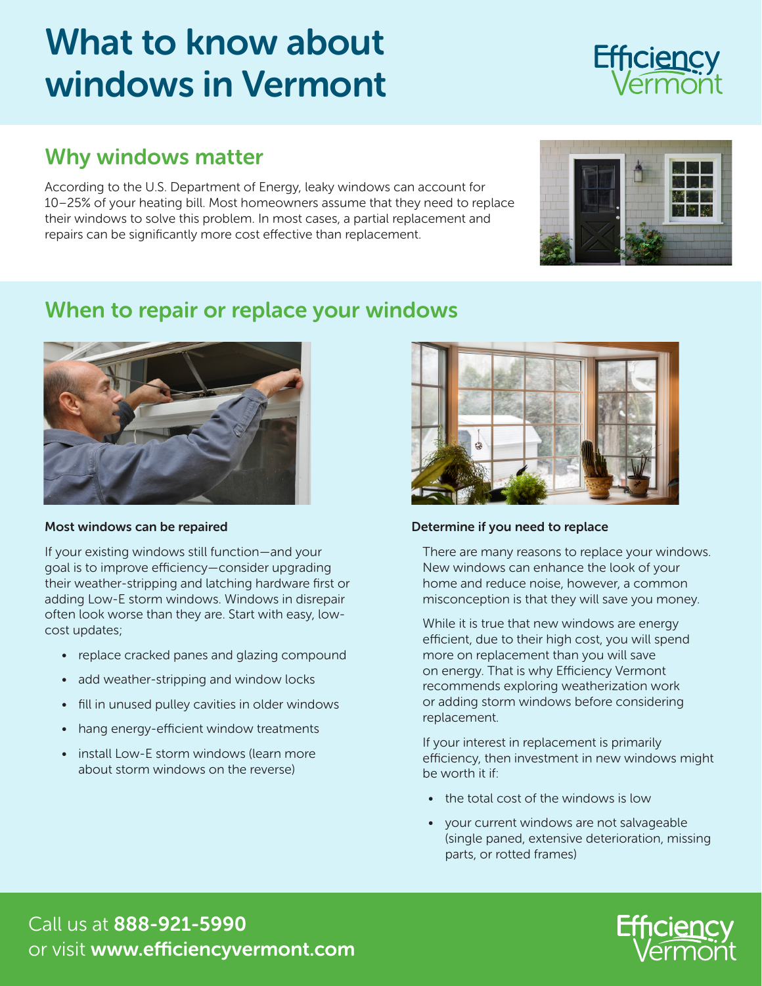# What to know about windows in Vermont

### Why windows matter

According to the U.S. Department of Energy, leaky windows can account for 10–25% of your heating bill. Most homeowners assume that they need to replace their windows to solve this problem. In most cases, a partial replacement and repairs can be significantly more cost effective than replacement.

#### When to repair or replace your windows

#### Most windows can be repaired

If your existing windows still function—and your goal is to improve efficiency—consider upgrading their weather-stripping and latching hardware first or adding Low-E storm windows. Windows in disrepair often look worse than they are. Start with easy, lowcost updates;

- replace cracked panes and glazing compound
- add weather-stripping and window locks
- fill in unused pulley cavities in older windows
- hang energy-efficient window treatments
- install Low-E storm windows (learn more about storm windows on the reverse)



#### Determine if you need to replace

There are many reasons to replace your windows. New windows can enhance the look of your home and reduce noise, however, a common misconception is that they will save you money.

While it is true that new windows are energy efficient, due to their high cost, you will spend more on replacement than you will save on energy. That is why Efficiency Vermont recommends exploring weatherization work or adding storm windows before considering replacement.

If your interest in replacement is primarily efficiency, then investment in new windows might be worth it if:

- the total cost of the windows is low
- your current windows are not salvageable (single paned, extensive deterioration, missing parts, or rotted frames)

Call us at 888-921-5990 or visit www.efficiencyvermont.com